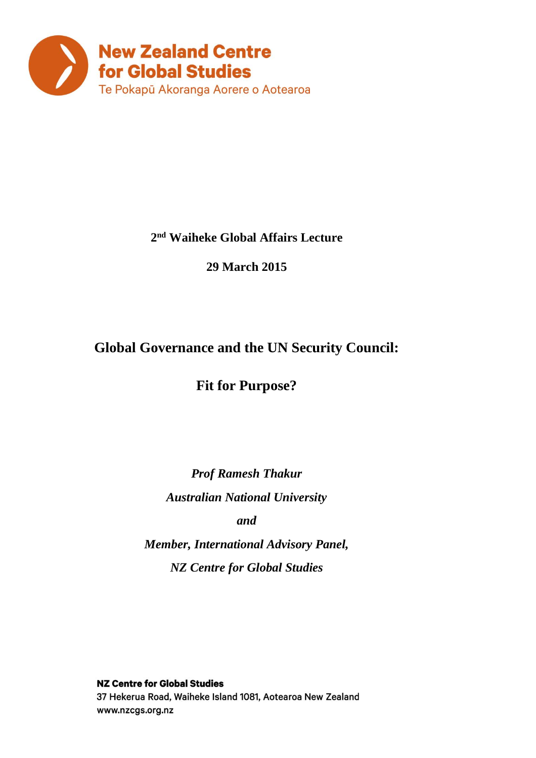

### **2 nd Waiheke Global Affairs Lecture**

**29 March 2015**

### **Global Governance and the UN Security Council:**

**Fit for Purpose?**

*Prof Ramesh Thakur Australian National University and Member, International Advisory Panel, NZ Centre for Global Studies*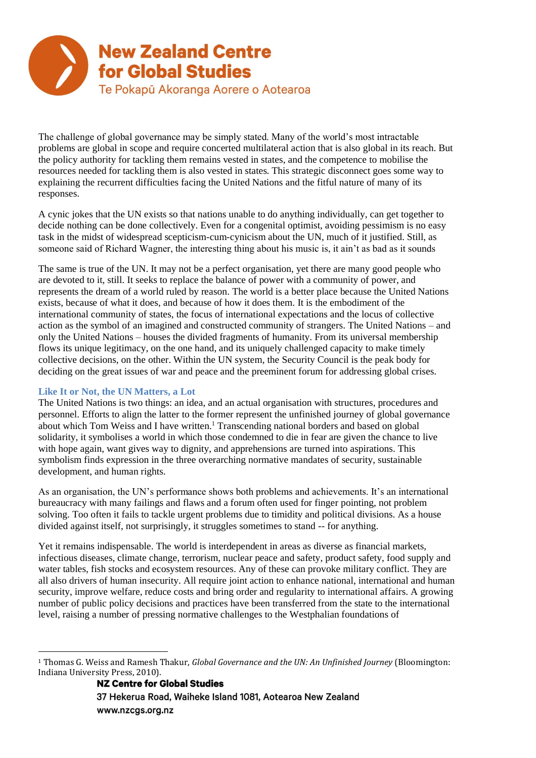

The challenge of global governance may be simply stated. Many of the world's most intractable problems are global in scope and require concerted multilateral action that is also global in its reach. But the policy authority for tackling them remains vested in states, and the competence to mobilise the resources needed for tackling them is also vested in states. This strategic disconnect goes some way to explaining the recurrent difficulties facing the United Nations and the fitful nature of many of its responses.

A cynic jokes that the UN exists so that nations unable to do anything individually, can get together to decide nothing can be done collectively. Even for a congenital optimist, avoiding pessimism is no easy task in the midst of widespread scepticism-cum-cynicism about the UN, much of it justified. Still, as someone said of Richard Wagner, the interesting thing about his music is, it ain't as bad as it sounds

The same is true of the UN. It may not be a perfect organisation, yet there are many good people who are devoted to it, still. It seeks to replace the balance of power with a community of power, and represents the dream of a world ruled by reason. The world is a better place because the United Nations exists, because of what it does, and because of how it does them. It is the embodiment of the international community of states, the focus of international expectations and the locus of collective action as the symbol of an imagined and constructed community of strangers. The United Nations – and only the United Nations – houses the divided fragments of humanity. From its universal membership flows its unique legitimacy, on the one hand, and its uniquely challenged capacity to make timely collective decisions, on the other. Within the UN system, the Security Council is the peak body for deciding on the great issues of war and peace and the preeminent forum for addressing global crises.

#### **Like It or Not, the UN Matters, a Lot**

The United Nations is two things: an idea, and an actual organisation with structures, procedures and personnel. Efforts to align the latter to the former represent the unfinished journey of global governance about which Tom Weiss and I have written.<sup>1</sup> Transcending national borders and based on global solidarity, it symbolises a world in which those condemned to die in fear are given the chance to live with hope again, want gives way to dignity, and apprehensions are turned into aspirations. This symbolism finds expression in the three overarching normative mandates of security, sustainable development, and human rights.

As an organisation, the UN's performance shows both problems and achievements. It's an international bureaucracy with many failings and flaws and a forum often used for finger pointing, not problem solving. Too often it fails to tackle urgent problems due to timidity and political divisions. As a house divided against itself, not surprisingly, it struggles sometimes to stand -- for anything.

Yet it remains indispensable. The world is interdependent in areas as diverse as financial markets, infectious diseases, climate change, terrorism, nuclear peace and safety, product safety, food supply and water tables, fish stocks and ecosystem resources. Any of these can provoke military conflict. They are all also drivers of human insecurity. All require joint action to enhance national, international and human security, improve welfare, reduce costs and bring order and regularity to international affairs. A growing number of public policy decisions and practices have been transferred from the state to the international level, raising a number of pressing normative challenges to the Westphalian foundations of

<sup>1</sup> Thomas G. Weiss and Ramesh Thakur, *Global Governance and the UN: An Unfinished Journey* (Bloomington: Indiana University Press, 2010).<br>**NZ Centre for Global Studies**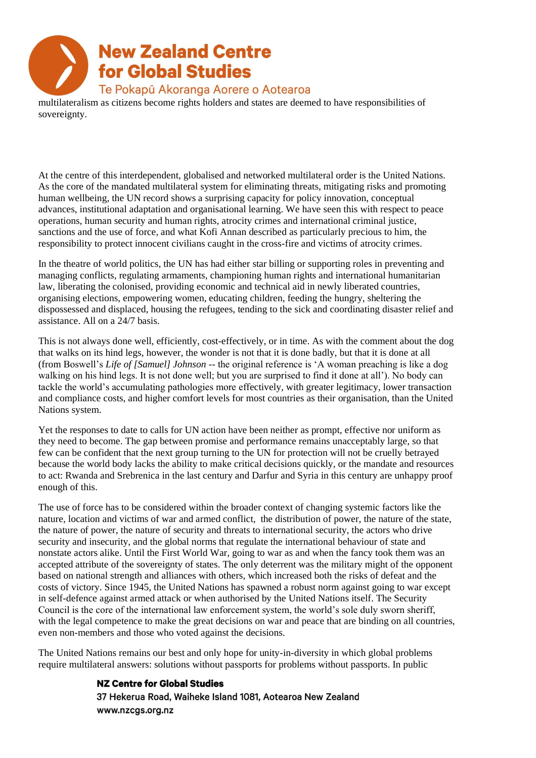multilateralism as citizens become rights holders and states are deemed to have responsibilities of sovereignty.

At the centre of this interdependent, globalised and networked multilateral order is the United Nations. As the core of the mandated multilateral system for eliminating threats, mitigating risks and promoting human wellbeing, the UN record shows a surprising capacity for policy innovation, conceptual advances, institutional adaptation and organisational learning. We have seen this with respect to peace operations, human security and human rights, atrocity crimes and international criminal justice, sanctions and the use of force, and what Kofi Annan described as particularly precious to him, the responsibility to protect innocent civilians caught in the cross-fire and victims of atrocity crimes.

In the theatre of world politics, the UN has had either star billing or supporting roles in preventing and managing conflicts, regulating armaments, championing human rights and international humanitarian law, liberating the colonised, providing economic and technical aid in newly liberated countries, organising elections, empowering women, educating children, feeding the hungry, sheltering the dispossessed and displaced, housing the refugees, tending to the sick and coordinating disaster relief and assistance. All on a 24/7 basis.

This is not always done well, efficiently, cost-effectively, or in time. As with the comment about the dog that walks on its hind legs, however, the wonder is not that it is done badly, but that it is done at all (from Boswell's *Life of [Samuel] Johnson* -- the original reference is 'A woman preaching is like a dog walking on his hind legs. It is not done well; but you are surprised to find it done at all'). No body can tackle the world's accumulating pathologies more effectively, with greater legitimacy, lower transaction and compliance costs, and higher comfort levels for most countries as their organisation, than the United Nations system.

Yet the responses to date to calls for UN action have been neither as prompt, effective nor uniform as they need to become. The gap between promise and performance remains unacceptably large, so that few can be confident that the next group turning to the UN for protection will not be cruelly betrayed because the world body lacks the ability to make critical decisions quickly, or the mandate and resources to act: Rwanda and Srebrenica in the last century and Darfur and Syria in this century are unhappy proof enough of this.

The use of force has to be considered within the broader context of changing systemic factors like the nature, location and victims of war and armed conflict, the distribution of power, the nature of the state, the nature of power, the nature of security and threats to international security, the actors who drive security and insecurity, and the global norms that regulate the international behaviour of state and nonstate actors alike. Until the First World War, going to war as and when the fancy took them was an accepted attribute of the sovereignty of states. The only deterrent was the military might of the opponent based on national strength and alliances with others, which increased both the risks of defeat and the costs of victory. Since 1945, the United Nations has spawned a robust norm against going to war except in self-defence against armed attack or when authorised by the United Nations itself. The Security Council is the core of the international law enforcement system, the world's sole duly sworn sheriff, with the legal competence to make the great decisions on war and peace that are binding on all countries, even non-members and those who voted against the decisions.

The United Nations remains our best and only hope for unity-in-diversity in which global problems require multilateral answers: solutions without passports for problems without passports. In public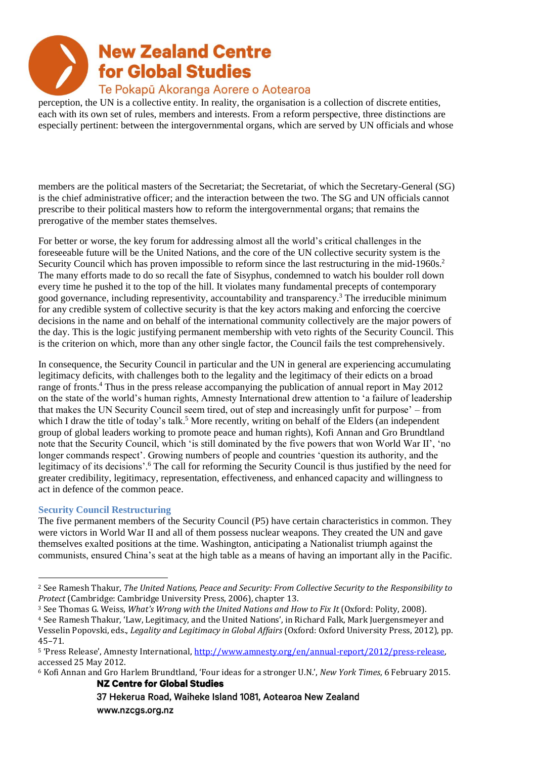perception, the UN is a collective entity. In reality, the organisation is a collection of discrete entities, each with its own set of rules, members and interests. From a reform perspective, three distinctions are especially pertinent: between the intergovernmental organs, which are served by UN officials and whose

members are the political masters of the Secretariat; the Secretariat, of which the Secretary-General (SG) is the chief administrative officer; and the interaction between the two. The SG and UN officials cannot prescribe to their political masters how to reform the intergovernmental organs; that remains the prerogative of the member states themselves.

For better or worse, the key forum for addressing almost all the world's critical challenges in the foreseeable future will be the United Nations, and the core of the UN collective security system is the Security Council which has proven impossible to reform since the last restructuring in the mid-1960s.<sup>2</sup> The many efforts made to do so recall the fate of Sisyphus, condemned to watch his boulder roll down every time he pushed it to the top of the hill. It violates many fundamental precepts of contemporary good governance, including representivity, accountability and transparency.<sup>3</sup> The irreducible minimum for any credible system of collective security is that the key actors making and enforcing the coercive decisions in the name and on behalf of the international community collectively are the major powers of the day. This is the logic justifying permanent membership with veto rights of the Security Council. This is the criterion on which, more than any other single factor, the Council fails the test comprehensively.

In consequence, the Security Council in particular and the UN in general are experiencing accumulating legitimacy deficits, with challenges both to the legality and the legitimacy of their edicts on a broad range of fronts.<sup>4</sup> Thus in the press release accompanying the publication of annual report in May 2012 on the state of the world's human rights, Amnesty International drew attention to 'a failure of leadership that makes the UN Security Council seem tired, out of step and increasingly unfit for purpose' – from which I draw the title of today's talk.<sup>5</sup> More recently, writing on behalf of the Elders (an independent group of global leaders working to promote peace and human rights), Kofi Annan and Gro Brundtland note that the Security Council, which 'is still dominated by the five powers that won World War II', 'no longer commands respect'. Growing numbers of people and countries 'question its authority, and the legitimacy of its decisions'.<sup>6</sup> The call for reforming the Security Council is thus justified by the need for greater credibility, legitimacy, representation, effectiveness, and enhanced capacity and willingness to act in defence of the common peace.

#### **Security Council Restructuring**

The five permanent members of the Security Council (P5) have certain characteristics in common. They were victors in World War II and all of them possess nuclear weapons. They created the UN and gave themselves exalted positions at the time. Washington, anticipating a Nationalist triumph against the communists, ensured China's seat at the high table as a means of having an important ally in the Pacific.

<sup>2</sup> See Ramesh Thakur, *The United Nations, Peace and Security: From Collective Security to the Responsibility to Protect* (Cambridge: Cambridge University Press, 2006), chapter 13.

<sup>3</sup> See Thomas G. Weiss, *What's Wrong with the United Nations and How to Fix It* (Oxford: Polity, 2008).

<sup>4</sup> See Ramesh Thakur, 'Law, Legitimacy, and the United Nations', in Richard Falk, Mark Juergensmeyer and Vesselin Popovski, eds., *Legality and Legitimacy in Global Affairs* (Oxford: Oxford University Press, 2012), pp. 45–71.

<sup>5 &#</sup>x27;Press Release', Amnesty International, http://www.amnesty.org/en/annual-report/2012/press-release, accessed 25 May 2012.

<sup>6</sup> Kofi Annan and Gro Harlem Brundtland, 'Four ideas for a stronger U.N.', *New York Times*, 6 February 2015.**NZ Centre for Global Studies**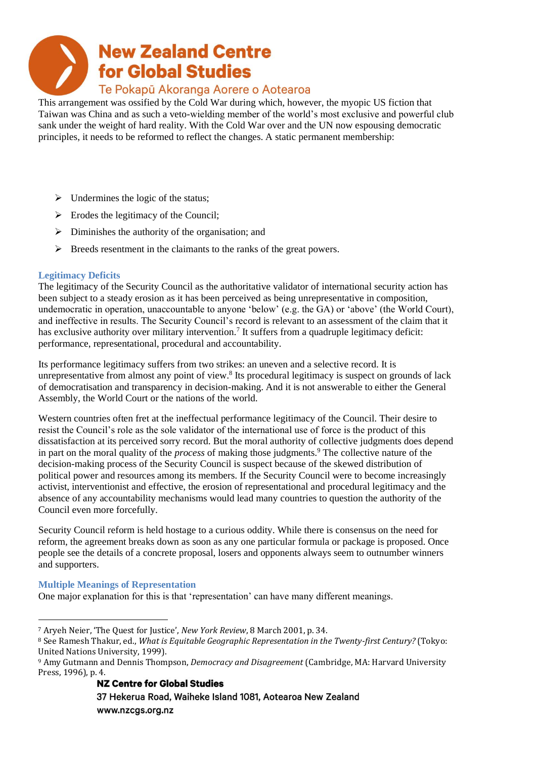This arrangement was ossified by the Cold War during which, however, the myopic US fiction that Taiwan was China and as such a veto-wielding member of the world's most exclusive and powerful club sank under the weight of hard reality. With the Cold War over and the UN now espousing democratic principles, it needs to be reformed to reflect the changes. A static permanent membership:

- $\triangleright$  Undermines the logic of the status;
- $\triangleright$  Erodes the legitimacy of the Council;
- $\triangleright$  Diminishes the authority of the organisation; and
- ➢ Breeds resentment in the claimants to the ranks of the great powers.

#### **Legitimacy Deficits**

The legitimacy of the Security Council as the authoritative validator of international security action has been subject to a steady erosion as it has been perceived as being unrepresentative in composition, undemocratic in operation, unaccountable to anyone 'below' (e.g. the GA) or 'above' (the World Court), and ineffective in results. The Security Council's record is relevant to an assessment of the claim that it has exclusive authority over military intervention.<sup>7</sup> It suffers from a quadruple legitimacy deficit: performance, representational, procedural and accountability.

Its performance legitimacy suffers from two strikes: an uneven and a selective record. It is unrepresentative from almost any point of view.<sup>8</sup> Its procedural legitimacy is suspect on grounds of lack of democratisation and transparency in decision-making. And it is not answerable to either the General Assembly, the World Court or the nations of the world.

Western countries often fret at the ineffectual performance legitimacy of the Council. Their desire to resist the Council's role as the sole validator of the international use of force is the product of this dissatisfaction at its perceived sorry record. But the moral authority of collective judgments does depend in part on the moral quality of the *process* of making those judgments.<sup>9</sup> The collective nature of the decision-making process of the Security Council is suspect because of the skewed distribution of political power and resources among its members. If the Security Council were to become increasingly activist, interventionist and effective, the erosion of representational and procedural legitimacy and the absence of any accountability mechanisms would lead many countries to question the authority of the Council even more forcefully.

Security Council reform is held hostage to a curious oddity. While there is consensus on the need for reform, the agreement breaks down as soon as any one particular formula or package is proposed. Once people see the details of a concrete proposal, losers and opponents always seem to outnumber winners and supporters.

#### **Multiple Meanings of Representation**

One major explanation for this is that 'representation' can have many different meanings.

#### **NZ Centre for Global Studies**

<sup>7</sup> Aryeh Neier, 'The Quest for Justice', *New York Review*, 8 March 2001, p. 34.

<sup>8</sup> See Ramesh Thakur, ed., *What is Equitable Geographic Representation in the Twenty-first Century?* (Tokyo: United Nations University, 1999).

<sup>9</sup> Amy Gutmann and Dennis Thompson, *Democracy and Disagreement* (Cambridge, MA: Harvard University Press, 1996), p. 4.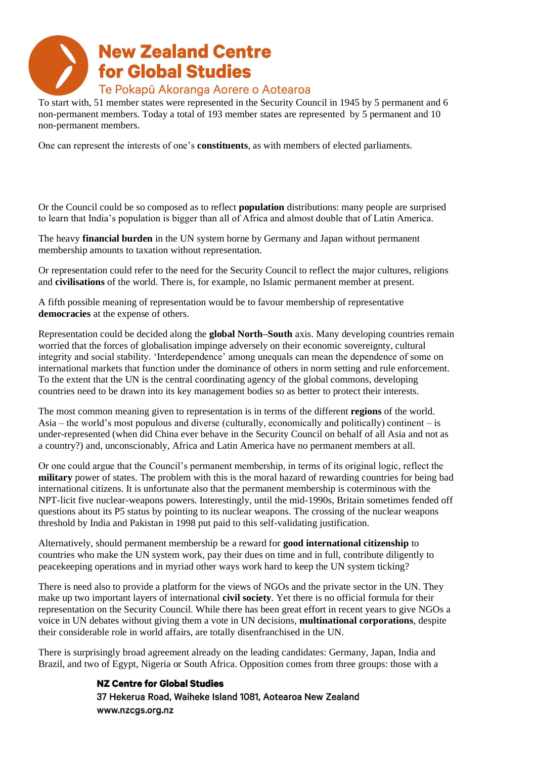

To start with, 51 member states were represented in the Security Council in 1945 by 5 permanent and 6 non-permanent members. Today a total of 193 member states are represented by 5 permanent and 10 non-permanent members.

One can represent the interests of one's **constituents**, as with members of elected parliaments.

Or the Council could be so composed as to reflect **population** distributions: many people are surprised to learn that India's population is bigger than all of Africa and almost double that of Latin America.

The heavy **financial burden** in the UN system borne by Germany and Japan without permanent membership amounts to taxation without representation.

Or representation could refer to the need for the Security Council to reflect the major cultures, religions and **civilisations** of the world. There is, for example, no Islamic permanent member at present.

A fifth possible meaning of representation would be to favour membership of representative **democracies** at the expense of others.

Representation could be decided along the **global North–South** axis. Many developing countries remain worried that the forces of globalisation impinge adversely on their economic sovereignty, cultural integrity and social stability. 'Interdependence' among unequals can mean the dependence of some on international markets that function under the dominance of others in norm setting and rule enforcement. To the extent that the UN is the central coordinating agency of the global commons, developing countries need to be drawn into its key management bodies so as better to protect their interests.

The most common meaning given to representation is in terms of the different **regions** of the world. Asia – the world's most populous and diverse (culturally, economically and politically) continent – is under-represented (when did China ever behave in the Security Council on behalf of all Asia and not as a country?) and, unconscionably, Africa and Latin America have no permanent members at all.

Or one could argue that the Council's permanent membership, in terms of its original logic, reflect the **military** power of states. The problem with this is the moral hazard of rewarding countries for being bad international citizens. It is unfortunate also that the permanent membership is coterminous with the NPT-licit five nuclear-weapons powers. Interestingly, until the mid-1990s, Britain sometimes fended off questions about its P5 status by pointing to its nuclear weapons. The crossing of the nuclear weapons threshold by India and Pakistan in 1998 put paid to this self-validating justification.

Alternatively, should permanent membership be a reward for **good international citizenship** to countries who make the UN system work, pay their dues on time and in full, contribute diligently to peacekeeping operations and in myriad other ways work hard to keep the UN system ticking?

There is need also to provide a platform for the views of NGOs and the private sector in the UN. They make up two important layers of international **civil society**. Yet there is no official formula for their representation on the Security Council. While there has been great effort in recent years to give NGOs a voice in UN debates without giving them a vote in UN decisions, **multinational corporations**, despite their considerable role in world affairs, are totally disenfranchised in the UN.

There is surprisingly broad agreement already on the leading candidates: Germany, Japan, India and Brazil, and two of Egypt, Nigeria or South Africa. Opposition comes from three groups: those with a

#### **NZ Centre for Global Studies**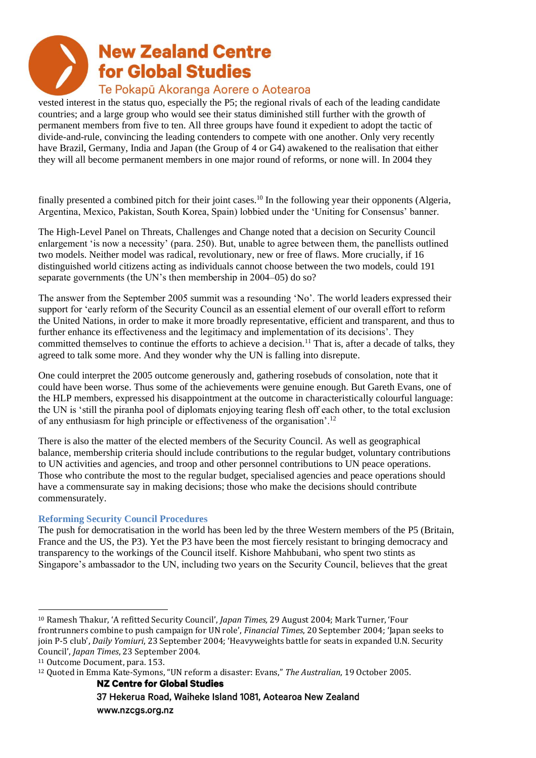vested interest in the status quo, especially the P5; the regional rivals of each of the leading candidate countries; and a large group who would see their status diminished still further with the growth of permanent members from five to ten. All three groups have found it expedient to adopt the tactic of divide-and-rule, convincing the leading contenders to compete with one another. Only very recently have Brazil, Germany, India and Japan (the Group of 4 or G4) awakened to the realisation that either they will all become permanent members in one major round of reforms, or none will. In 2004 they

finally presented a combined pitch for their joint cases.<sup>10</sup> In the following year their opponents (Algeria, Argentina, Mexico, Pakistan, South Korea, Spain) lobbied under the 'Uniting for Consensus' banner.

The High-Level Panel on Threats, Challenges and Change noted that a decision on Security Council enlargement 'is now a necessity' (para. 250). But, unable to agree between them, the panellists outlined two models. Neither model was radical, revolutionary, new or free of flaws. More crucially, if 16 distinguished world citizens acting as individuals cannot choose between the two models, could 191 separate governments (the UN's then membership in 2004–05) do so?

The answer from the September 2005 summit was a resounding 'No'. The world leaders expressed their support for 'early reform of the Security Council as an essential element of our overall effort to reform the United Nations, in order to make it more broadly representative, efficient and transparent, and thus to further enhance its effectiveness and the legitimacy and implementation of its decisions'. They committed themselves to continue the efforts to achieve a decision.<sup>11</sup> That is, after a decade of talks, they agreed to talk some more. And they wonder why the UN is falling into disrepute.

One could interpret the 2005 outcome generously and, gathering rosebuds of consolation, note that it could have been worse. Thus some of the achievements were genuine enough. But Gareth Evans, one of the HLP members, expressed his disappointment at the outcome in characteristically colourful language: the UN is 'still the piranha pool of diplomats enjoying tearing flesh off each other, to the total exclusion of any enthusiasm for high principle or effectiveness of the organisation'.<sup>12</sup>

There is also the matter of the elected members of the Security Council. As well as geographical balance, membership criteria should include contributions to the regular budget, voluntary contributions to UN activities and agencies, and troop and other personnel contributions to UN peace operations. Those who contribute the most to the regular budget, specialised agencies and peace operations should have a commensurate say in making decisions; those who make the decisions should contribute commensurately.

#### **Reforming Security Council Procedures**

The push for democratisation in the world has been led by the three Western members of the P5 (Britain, France and the US, the P3). Yet the P3 have been the most fiercely resistant to bringing democracy and transparency to the workings of the Council itself. Kishore Mahbubani, who spent two stints as Singapore's ambassador to the UN, including two years on the Security Council, believes that the great

<sup>10</sup> Ramesh Thakur, 'A refitted Security Council', *Japan Times,* 29 August 2004; Mark Turner, 'Four frontrunners combine to push campaign for UN role', *Financial Times*, 20 September 2004; 'Japan seeks to join P-5 club', *Daily Yomiuri*, 23 September 2004; 'Heavyweights battle for seats in expanded U.N. Security Council', *Japan Times*, 23 September 2004.

<sup>11</sup> Outcome Document, para. 153.

<sup>12</sup> Quoted in Emma Kate-Symons, "UN reform a disaster: Evans," *The Australian*, 19 October 2005.**NZ Centre for Global Studies**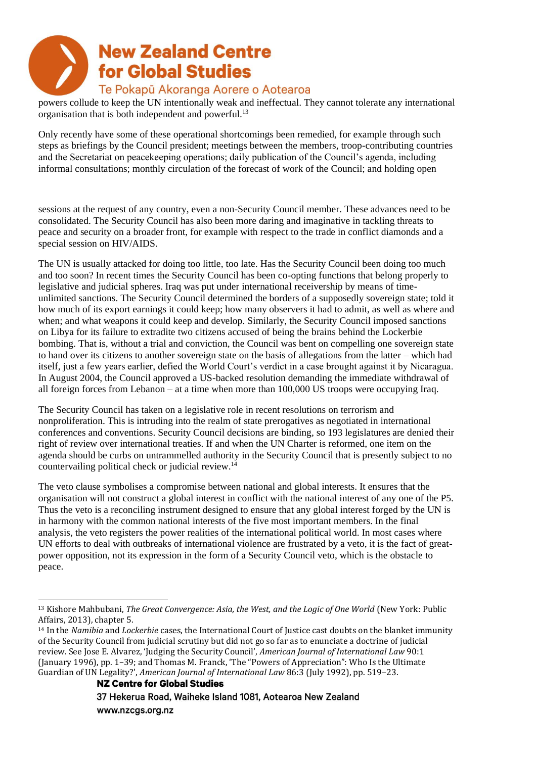powers collude to keep the UN intentionally weak and ineffectual. They cannot tolerate any international organisation that is both independent and powerful.<sup>13</sup>

Only recently have some of these operational shortcomings been remedied, for example through such steps as briefings by the Council president; meetings between the members, troop-contributing countries and the Secretariat on peacekeeping operations; daily publication of the Council's agenda, including informal consultations; monthly circulation of the forecast of work of the Council; and holding open

sessions at the request of any country, even a non-Security Council member. These advances need to be consolidated. The Security Council has also been more daring and imaginative in tackling threats to peace and security on a broader front, for example with respect to the trade in conflict diamonds and a special session on HIV/AIDS.

The UN is usually attacked for doing too little, too late. Has the Security Council been doing too much and too soon? In recent times the Security Council has been co-opting functions that belong properly to legislative and judicial spheres. Iraq was put under international receivership by means of timeunlimited sanctions. The Security Council determined the borders of a supposedly sovereign state; told it how much of its export earnings it could keep; how many observers it had to admit, as well as where and when; and what weapons it could keep and develop. Similarly, the Security Council imposed sanctions on Libya for its failure to extradite two citizens accused of being the brains behind the Lockerbie bombing. That is, without a trial and conviction, the Council was bent on compelling one sovereign state to hand over its citizens to another sovereign state on the basis of allegations from the latter – which had itself, just a few years earlier, defied the World Court's verdict in a case brought against it by Nicaragua. In August 2004, the Council approved a US-backed resolution demanding the immediate withdrawal of all foreign forces from Lebanon – at a time when more than 100,000 US troops were occupying Iraq.

The Security Council has taken on a legislative role in recent resolutions on terrorism and nonproliferation. This is intruding into the realm of state prerogatives as negotiated in international conferences and conventions. Security Council decisions are binding, so 193 legislatures are denied their right of review over international treaties. If and when the UN Charter is reformed, one item on the agenda should be curbs on untrammelled authority in the Security Council that is presently subject to no countervailing political check or judicial review.<sup>14</sup>

The veto clause symbolises a compromise between national and global interests. It ensures that the organisation will not construct a global interest in conflict with the national interest of any one of the P5. Thus the veto is a reconciling instrument designed to ensure that any global interest forged by the UN is in harmony with the common national interests of the five most important members. In the final analysis, the veto registers the power realities of the international political world. In most cases where UN efforts to deal with outbreaks of international violence are frustrated by a veto, it is the fact of greatpower opposition, not its expression in the form of a Security Council veto, which is the obstacle to peace.

**NZ Centre for Global Studies** 

<sup>13</sup> Kishore Mahbubani, *The Great Convergence: Asia, the West, and the Logic of One World* (New York: Public Affairs, 2013), chapter 5.

<sup>14</sup> In the *Namibia* and *Lockerbie* cases, the International Court of Justice cast doubts on the blanket immunity of the Security Council from judicial scrutiny but did not go so far as to enunciate a doctrine of judicial review. See Jose E. Alvarez, 'Judging the Security Council', *American Journal of International Law* 90:1 (January 1996), pp. 1–39; and Thomas M. Franck, 'The "Powers of Appreciation": Who Is the Ultimate Guardian of UN Legality?', *American Journal of International Law* 86:3 (July 1992), pp. 519–23.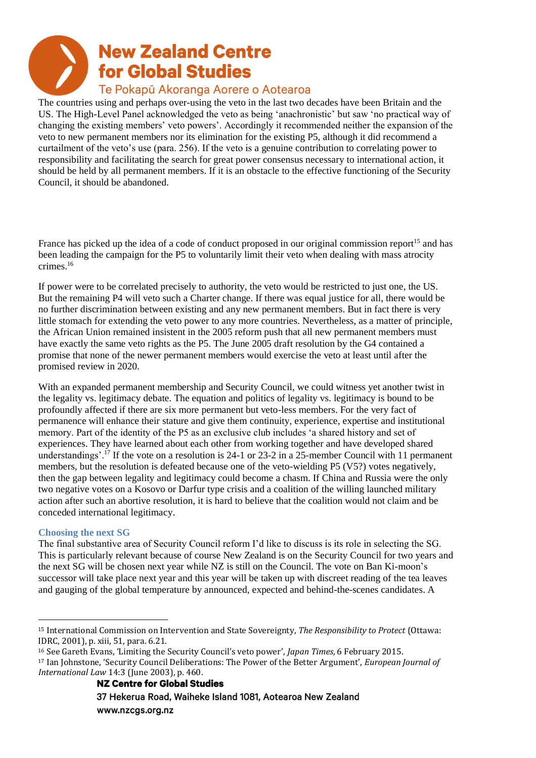# **New Zealand Centre for Global Studies**

#### Te Pokapū Akoranga Aorere o Aotearoa

The countries using and perhaps over-using the veto in the last two decades have been Britain and the US. The High-Level Panel acknowledged the veto as being 'anachronistic' but saw 'no practical way of changing the existing members' veto powers'. Accordingly it recommended neither the expansion of the veto to new permanent members nor its elimination for the existing P5, although it did recommend a curtailment of the veto's use (para. 256). If the veto is a genuine contribution to correlating power to responsibility and facilitating the search for great power consensus necessary to international action, it should be held by all permanent members. If it is an obstacle to the effective functioning of the Security Council, it should be abandoned.

France has picked up the idea of a code of conduct proposed in our original commission report<sup>15</sup> and has been leading the campaign for the P5 to voluntarily limit their veto when dealing with mass atrocity crimes.<sup>16</sup>

If power were to be correlated precisely to authority, the veto would be restricted to just one, the US. But the remaining P4 will veto such a Charter change. If there was equal justice for all, there would be no further discrimination between existing and any new permanent members. But in fact there is very little stomach for extending the veto power to any more countries. Nevertheless, as a matter of principle, the African Union remained insistent in the 2005 reform push that all new permanent members must have exactly the same veto rights as the P5. The June 2005 draft resolution by the G4 contained a promise that none of the newer permanent members would exercise the veto at least until after the promised review in 2020.

With an expanded permanent membership and Security Council, we could witness yet another twist in the legality vs. legitimacy debate. The equation and politics of legality vs. legitimacy is bound to be profoundly affected if there are six more permanent but veto-less members. For the very fact of permanence will enhance their stature and give them continuity, experience, expertise and institutional memory. Part of the identity of the P5 as an exclusive club includes 'a shared history and set of experiences. They have learned about each other from working together and have developed shared understandings'.<sup>17</sup> If the vote on a resolution is 24-1 or 23-2 in a 25-member Council with 11 permanent members, but the resolution is defeated because one of the veto-wielding P5 (V5?) votes negatively, then the gap between legality and legitimacy could become a chasm. If China and Russia were the only two negative votes on a Kosovo or Darfur type crisis and a coalition of the willing launched military action after such an abortive resolution, it is hard to believe that the coalition would not claim and be conceded international legitimacy.

#### **Choosing the next SG**

The final substantive area of Security Council reform I'd like to discuss is its role in selecting the SG. This is particularly relevant because of course New Zealand is on the Security Council for two years and the next SG will be chosen next year while NZ is still on the Council. The vote on Ban Ki-moon's successor will take place next year and this year will be taken up with discreet reading of the tea leaves and gauging of the global temperature by announced, expected and behind-the-scenes candidates. A

<sup>15</sup> International Commission on Intervention and State Sovereignty, *The Responsibility to Protect* (Ottawa: IDRC, 2001), p. xiii, 51, para. 6.21.

<sup>16</sup> See Gareth Evans, 'Limiting the Security Council's veto power', *Japan Times*, 6 February 2015.

<sup>17</sup> Ian Johnstone, 'Security Council Deliberations: The Power of the Better Argument', *European Journal of International Law* 14:3 (June 2003), p. 460.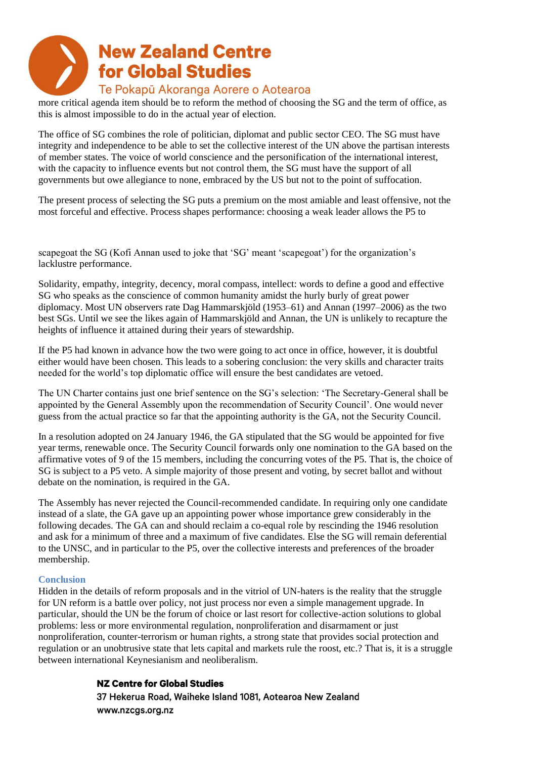# **New Zealand Centre for Global Studies**

#### Te Pokapū Akoranga Aorere o Aotearoa

more critical agenda item should be to reform the method of choosing the SG and the term of office, as this is almost impossible to do in the actual year of election.

The office of SG combines the role of politician, diplomat and public sector CEO. The SG must have integrity and independence to be able to set the collective interest of the UN above the partisan interests of member states. The voice of world conscience and the personification of the international interest, with the capacity to influence events but not control them, the SG must have the support of all governments but owe allegiance to none, embraced by the US but not to the point of suffocation.

The present process of selecting the SG puts a premium on the most amiable and least offensive, not the most forceful and effective. Process shapes performance: choosing a weak leader allows the P5 to

scapegoat the SG (Kofi Annan used to joke that 'SG' meant 'scapegoat') for the organization's lacklustre performance.

Solidarity, empathy, integrity, decency, moral compass, intellect: words to define a good and effective SG who speaks as the conscience of common humanity amidst the hurly burly of great power diplomacy. Most UN observers rate Dag Hammarskjöld (1953–61) and Annan (1997–2006) as the two best SGs. Until we see the likes again of Hammarskjöld and Annan, the UN is unlikely to recapture the heights of influence it attained during their years of stewardship.

If the P5 had known in advance how the two were going to act once in office, however, it is doubtful either would have been chosen. This leads to a sobering conclusion: the very skills and character traits needed for the world's top diplomatic office will ensure the best candidates are vetoed.

The UN Charter contains just one brief sentence on the SG's selection: 'The Secretary-General shall be appointed by the General Assembly upon the recommendation of Security Council'. One would never guess from the actual practice so far that the appointing authority is the GA, not the Security Council.

In a resolution adopted on 24 January 1946, the GA stipulated that the SG would be appointed for five year terms, renewable once. The Security Council forwards only one nomination to the GA based on the affirmative votes of 9 of the 15 members, including the concurring votes of the P5. That is, the choice of SG is subject to a P5 veto. A simple majority of those present and voting, by secret ballot and without debate on the nomination, is required in the GA.

The Assembly has never rejected the Council-recommended candidate. In requiring only one candidate instead of a slate, the GA gave up an appointing power whose importance grew considerably in the following decades. The GA can and should reclaim a co-equal role by rescinding the 1946 resolution and ask for a minimum of three and a maximum of five candidates. Else the SG will remain deferential to the UNSC, and in particular to the P5, over the collective interests and preferences of the broader membership.

#### **Conclusion**

Hidden in the details of reform proposals and in the vitriol of UN-haters is the reality that the struggle for UN reform is a battle over policy, not just process nor even a simple management upgrade. In particular, should the UN be the forum of choice or last resort for collective-action solutions to global problems: less or more environmental regulation, nonproliferation and disarmament or just nonproliferation, counter-terrorism or human rights, a strong state that provides social protection and regulation or an unobtrusive state that lets capital and markets rule the roost, etc.? That is, it is a struggle between international Keynesianism and neoliberalism.

#### **NZ Centre for Global Studies**